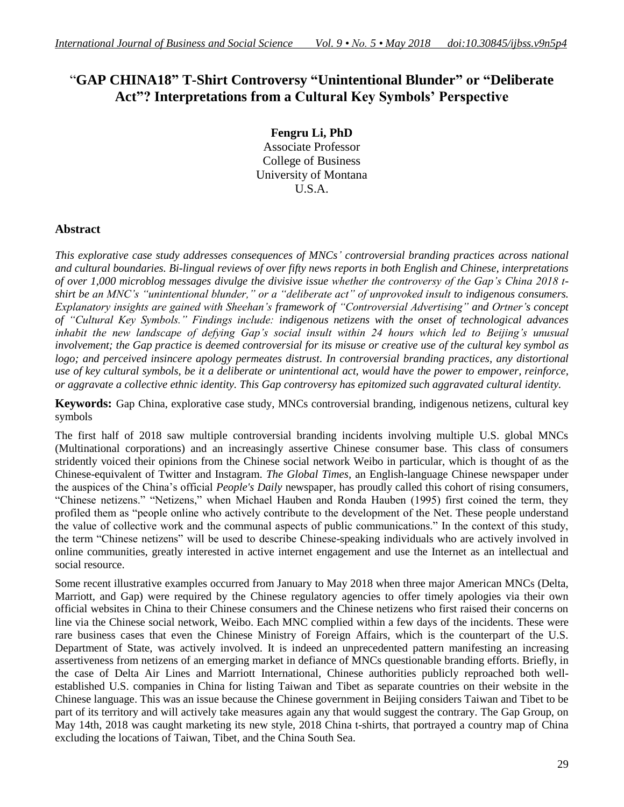# "**GAP CHINA18" T-Shirt Controversy "Unintentional Blunder" or "Deliberate Act"? Interpretations from a Cultural Key Symbols' Perspective**

**Fengru Li, PhD** Associate Professor College of Business University of Montana U.S.A.

# **Abstract**

*This explorative case study addresses consequences of MNCs' controversial branding practices across national and cultural boundaries. Bi-lingual reviews of over fifty news reports in both English and Chinese, interpretations of over 1,000 microblog messages divulge the divisive issue whether the controversy of the Gap's China 2018 tshirt be an MNC's "unintentional blunder," or a "deliberate act" of unprovoked insult to indigenous consumers. Explanatory insights are gained with Sheehan's framework of "Controversial Advertising" and Ortner's concept of "Cultural Key Symbols." Findings include: indigenous netizens with the onset of technological advances inhabit the new landscape of defying Gap's social insult within 24 hours which led to Beijing's unusual involvement; the Gap practice is deemed controversial for its misuse or creative use of the cultural key symbol as logo; and perceived insincere apology permeates distrust. In controversial branding practices, any distortional use of key cultural symbols, be it a deliberate or unintentional act, would have the power to empower, reinforce, or aggravate a collective ethnic identity. This Gap controversy has epitomized such aggravated cultural identity.* 

**Keywords:** Gap China, explorative case study, MNCs controversial branding, indigenous netizens, cultural key symbols

The first half of 2018 saw multiple controversial branding incidents involving multiple U.S. global MNCs (Multinational corporations) and an increasingly assertive Chinese consumer base. This class of consumers stridently voiced their opinions from the Chinese social network Weibo in particular, which is thought of as the Chinese-equivalent of Twitter and Instagram. *The Global Times,* an English-language Chinese newspaper under the auspices of the China"s official *People's Daily* newspaper, has proudly called this cohort of rising consumers, "Chinese netizens." "Netizens," when Michael Hauben and Ronda Hauben (1995) first coined the term, they profiled them as "people online who actively contribute to the development of the Net. These people understand the value of collective work and the communal aspects of public communications." In the context of this study, the term "Chinese netizens" will be used to describe Chinese-speaking individuals who are actively involved in online communities, greatly interested in active internet engagement and use the Internet as an intellectual and social resource.

Some recent illustrative examples occurred from January to May 2018 when three major American MNCs (Delta, Marriott, and Gap) were required by the Chinese regulatory agencies to offer timely apologies via their own official websites in China to their Chinese consumers and the Chinese netizens who first raised their concerns on line via the Chinese social network, Weibo. Each MNC complied within a few days of the incidents. These were rare business cases that even the Chinese Ministry of Foreign Affairs, which is the counterpart of the U.S. Department of State, was actively involved. It is indeed an unprecedented pattern manifesting an increasing assertiveness from netizens of an emerging market in defiance of MNCs questionable branding efforts. Briefly, in the case of Delta Air Lines and Marriott International, Chinese authorities publicly reproached both wellestablished U.S. companies in China for listing Taiwan and Tibet as separate countries on their website in the Chinese language. This was an issue because the Chinese government in Beijing considers Taiwan and Tibet to be part of its territory and will actively take measures again any that would suggest the contrary. The Gap Group, on May 14th, 2018 was caught marketing its new style, 2018 China t-shirts, that portrayed a country map of China excluding the locations of Taiwan, Tibet, and the China South Sea.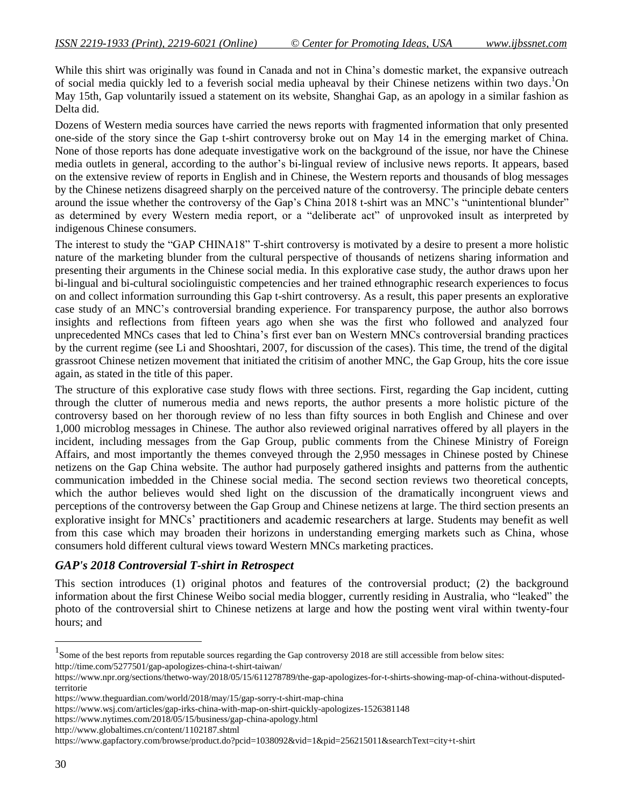While this shirt was originally was found in Canada and not in China's domestic market, the expansive outreach of social media quickly led to a feverish social media upheaval by their Chinese netizens within two days. <sup>1</sup>On May 15th, Gap voluntarily issued a statement on its website, Shanghai Gap, as an apology in a similar fashion as Delta did.

Dozens of Western media sources have carried the news reports with fragmented information that only presented one-side of the story since the Gap t-shirt controversy broke out on May 14 in the emerging market of China. None of those reports has done adequate investigative work on the background of the issue, nor have the Chinese media outlets in general, according to the author"s bi-lingual review of inclusive news reports. It appears, based on the extensive review of reports in English and in Chinese, the Western reports and thousands of blog messages by the Chinese netizens disagreed sharply on the perceived nature of the controversy. The principle debate centers around the issue whether the controversy of the Gap"s China 2018 t-shirt was an MNC"s "unintentional blunder" as determined by every Western media report, or a "deliberate act" of unprovoked insult as interpreted by indigenous Chinese consumers.

The interest to study the "GAP CHINA18" T-shirt controversy is motivated by a desire to present a more holistic nature of the marketing blunder from the cultural perspective of thousands of netizens sharing information and presenting their arguments in the Chinese social media. In this explorative case study, the author draws upon her bi-lingual and bi-cultural sociolinguistic competencies and her trained ethnographic research experiences to focus on and collect information surrounding this Gap t-shirt controversy. As a result, this paper presents an explorative case study of an MNC"s controversial branding experience. For transparency purpose, the author also borrows insights and reflections from fifteen years ago when she was the first who followed and analyzed four unprecedented MNCs cases that led to China"s first ever ban on Western MNCs controversial branding practices by the current regime (see Li and Shooshtari, 2007, for discussion of the cases). This time, the trend of the digital grassroot Chinese netizen movement that initiated the critisim of another MNC, the Gap Group, hits the core issue again, as stated in the title of this paper.

The structure of this explorative case study flows with three sections. First, regarding the Gap incident, cutting through the clutter of numerous media and news reports, the author presents a more holistic picture of the controversy based on her thorough review of no less than fifty sources in both English and Chinese and over 1,000 microblog messages in Chinese. The author also reviewed original narratives offered by all players in the incident, including messages from the Gap Group, public comments from the Chinese Ministry of Foreign Affairs, and most importantly the themes conveyed through the 2,950 messages in Chinese posted by Chinese netizens on the Gap China website. The author had purposely gathered insights and patterns from the authentic communication imbedded in the Chinese social media. The second section reviews two theoretical concepts, which the author believes would shed light on the discussion of the dramatically incongruent views and perceptions of the controversy between the Gap Group and Chinese netizens at large. The third section presents an explorative insight for MNCs" practitioners and academic researchers at large. Students may benefit as well from this case which may broaden their horizons in understanding emerging markets such as China, whose consumers hold different cultural views toward Western MNCs marketing practices.

# *GAP's 2018 Controversial T-shirt in Retrospect*

This section introduces (1) original photos and features of the controversial product; (2) the background information about the first Chinese Weibo social media blogger, currently residing in Australia, who "leaked" the photo of the controversial shirt to Chinese netizens at large and how the posting went viral within twenty-four hours; and

https://www.wsj.com/articles/gap-irks-china-with-map-on-shirt-quickly-apologizes-1526381148

https://www.nytimes.com/2018/05/15/business/gap-china-apology.html

http://www.globaltimes.cn/content/1102187.shtml

 $\overline{a}$ 

<sup>&</sup>lt;sup>1</sup> Some of the best reports from reputable sources regarding the Gap controversy 2018 are still accessible from below sites: http://time.com/5277501/gap-apologizes-china-t-shirt-taiwan/

https://www.npr.org/sections/thetwo-way/2018/05/15/611278789/the-gap-apologizes-for-t-shirts-showing-map-of-china-without-disputedterritorie

https://www.theguardian.com/world/2018/may/15/gap-sorry-t-shirt-map-china

https://www.gapfactory.com/browse/product.do?pcid=1038092&vid=1&pid=256215011&searchText=city+t-shirt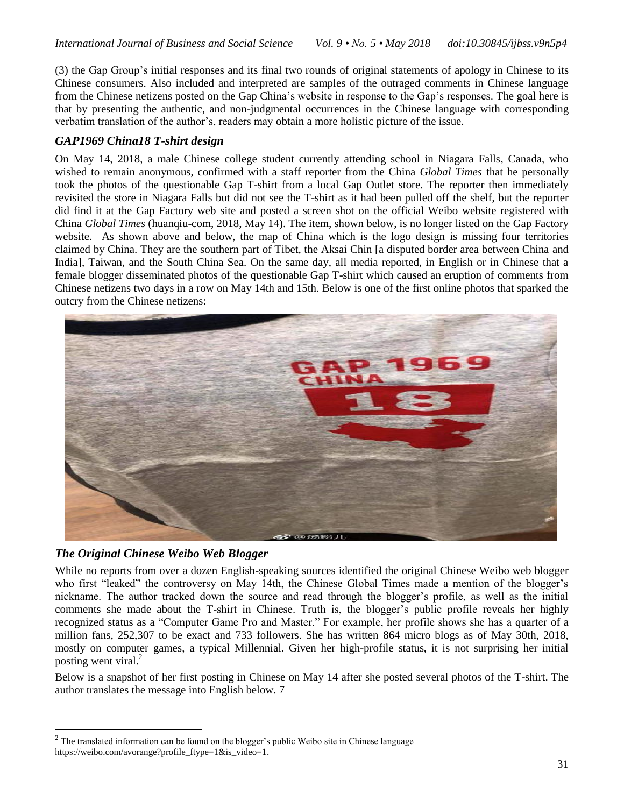(3) the Gap Group"s initial responses and its final two rounds of original statements of apology in Chinese to its Chinese consumers. Also included and interpreted are samples of the outraged comments in Chinese language from the Chinese netizens posted on the Gap China"s website in response to the Gap"s responses. The goal here is that by presenting the authentic, and non-judgmental occurrences in the Chinese language with corresponding verbatim translation of the author"s, readers may obtain a more holistic picture of the issue.

# *GAP1969 China18 T-shirt design*

On May 14, 2018, a male Chinese college student currently attending school in Niagara Falls, Canada, who wished to remain anonymous, confirmed with a staff reporter from the China *Global Times* that he personally took the photos of the questionable Gap T-shirt from a local Gap Outlet store. The reporter then immediately revisited the store in Niagara Falls but did not see the T-shirt as it had been pulled off the shelf, but the reporter did find it at the Gap Factory web site and posted a screen shot on the official Weibo website registered with China *Global Times* (huanqiu-com, 2018, May 14). The item, shown below, is no longer listed on the Gap Factory website. As shown above and below, the map of China which is the logo design is missing four territories claimed by China. They are the southern part of Tibet, the Aksai Chin [a disputed border area between China and India], Taiwan, and the South China Sea. On the same day, all media reported, in English or in Chinese that a female blogger disseminated photos of the questionable Gap T-shirt which caused an eruption of comments from Chinese netizens two days in a row on May 14th and 15th. Below is one of the first online photos that sparked the outcry from the Chinese netizens:



# *The Original Chinese Weibo Web Blogger*

 $\overline{a}$ 

While no reports from over a dozen English-speaking sources identified the original Chinese Weibo web blogger who first "leaked" the controversy on May 14th, the Chinese Global Times made a mention of the blogger's nickname. The author tracked down the source and read through the blogger"s profile, as well as the initial comments she made about the T-shirt in Chinese. Truth is, the blogger's public profile reveals her highly recognized status as a "Computer Game Pro and Master." For example, her profile shows she has a quarter of a million fans, 252,307 to be exact and 733 followers. She has written 864 micro blogs as of May 30th, 2018, mostly on computer games, a typical Millennial. Given her high-profile status, it is not surprising her initial posting went viral.<sup>2</sup>

Below is a snapshot of her first posting in Chinese on May 14 after she posted several photos of the T-shirt. The author translates the message into English below. 7

 $2$  The translated information can be found on the blogger's public Weibo site in Chinese language https://weibo.com/avorange?profile\_ftype=1&is\_video=1.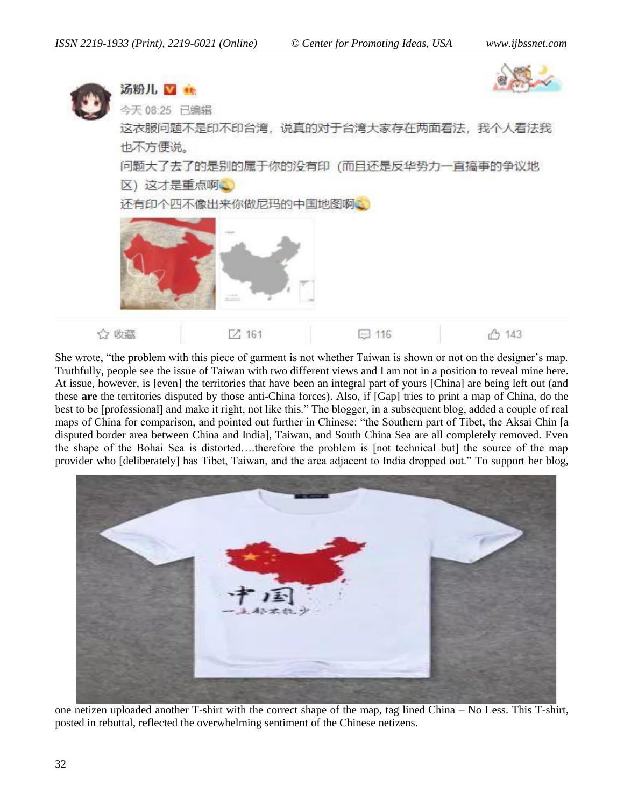

She wrote, "the problem with this piece of garment is not whether Taiwan is shown or not on the designer"s map. Truthfully, people see the issue of Taiwan with two different views and I am not in a position to reveal mine here. At issue, however, is [even] the territories that have been an integral part of yours [China] are being left out (and these **are** the territories disputed by those anti-China forces). Also, if [Gap] tries to print a map of China, do the best to be [professional] and make it right, not like this." The blogger, in a subsequent blog, added a couple of real maps of China for comparison, and pointed out further in Chinese: "the Southern part of Tibet, the Aksai Chin [a disputed border area between China and India], Taiwan, and South China Sea are all completely removed. Even the shape of the Bohai Sea is distorted….therefore the problem is [not technical but] the source of the map provider who [deliberately] has Tibet, Taiwan, and the area adjacent to India dropped out." To support her blog,



one netizen uploaded another T-shirt with the correct shape of the map, tag lined China – No Less. This T-shirt, posted in rebuttal, reflected the overwhelming sentiment of the Chinese netizens.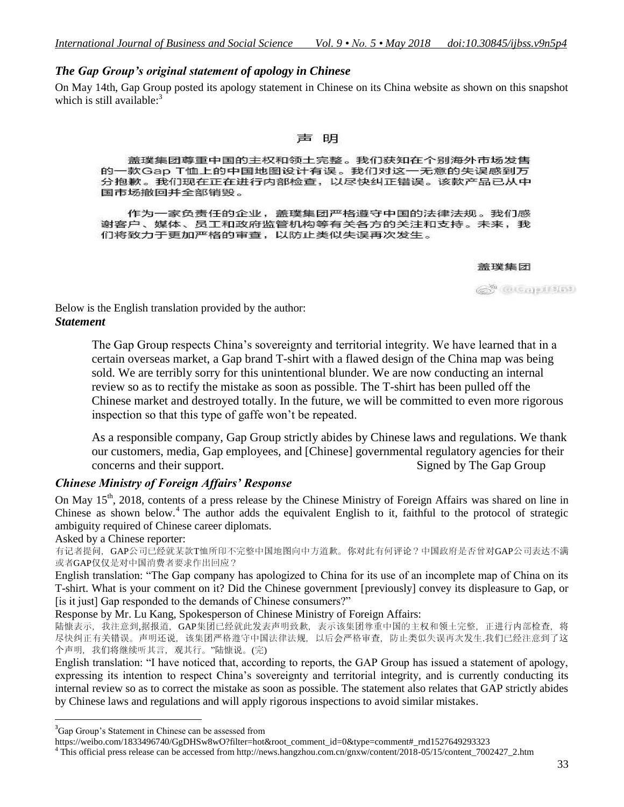# *The Gap Group's original statement of apology in Chinese*

On May 14th, Gap Group posted its apology statement in Chinese on its China website as shown on this snapshot which is still available:<sup>3</sup>

#### 明

盖璞集团尊重中国的主权和领土完整。我们获知在个别海外市场发售 的一款Gap T恤上的中国地图设计有误。我们对这一无意的失误感到万 分抱歉。我们现在正在进行内部检查,以尽快纠正错误。该款产品已从中 国市场撤回并全部销毁。

作为一家负责任的企业,盖璞集团严格遵守中国的法律法规。我们感 谢客户、媒体、员工和政府监管机构等有关各方的关注和支持。未来,我 们将致力于更加严格的审查,以防止类似失误再次发生。

#### 盖璞集团

@ @Capillin

Below is the English translation provided by the author: *Statement*

> The Gap Group respects China's sovereignty and territorial integrity. We have learned that in a certain overseas market, a Gap brand T-shirt with a flawed design of the China map was being sold. We are terribly sorry for this unintentional blunder. We are now conducting an internal review so as to rectify the mistake as soon as possible. The T-shirt has been pulled off the Chinese market and destroyed totally. In the future, we will be committed to even more rigorous inspection so that this type of gaffe won"t be repeated.

> As a responsible company, Gap Group strictly abides by Chinese laws and regulations. We thank our customers, media, Gap employees, and [Chinese] governmental regulatory agencies for their concerns and their support. Signed by The Gap Group

# *Chinese Ministry of Foreign Affairs' Response*

On May 15<sup>th</sup>, 2018, contents of a press release by the Chinese Ministry of Foreign Affairs was shared on line in Chinese as shown below.<sup>4</sup> The author adds the equivalent English to it, faithful to the protocol of strategic ambiguity required of Chinese career diplomats.

Asked by a Chinese reporter:

 $\overline{a}$ 

有记者提问,GAP公司已经就某款T恤所印不完整中国地图向中方道歉。你对此有何评论?中国政府是否曾对GAP公司表达不满 或者GAP仅仅是对中国消费者要求作出回应?

English translation: "The Gap company has apologized to China for its use of an incomplete map of China on its T-shirt. What is your comment on it? Did the Chinese government [previously] convey its displeasure to Gap, or [is it just] Gap responded to the demands of Chinese consumers?"

Response by Mr. Lu Kang, Spokesperson of Chinese Ministry of Foreign Affairs:

陆慷表示,我注意到,据报道, GAP集团已经就此发表声明致歉, 表示该集团尊重中国的主权和领土完整, 正进行内部检查, 将 尽快纠正有关错误。声明还说,该集团严格遵守中国法律法规,以后会严格审查,防止类似失误再次发生.我们已经注意到了这 个声明,我们将继续听其言,观其行。"陆慷说。(完)

English translation: "I have noticed that, according to reports, the GAP Group has issued a statement of apology, expressing its intention to respect China"s sovereignty and territorial integrity, and is currently conducting its internal review so as to correct the mistake as soon as possible. The statement also relates that GAP strictly abides by Chinese laws and regulations and will apply rigorous inspections to avoid similar mistakes.

<sup>4</sup> This official press release can be accessed from http://news.hangzhou.com.cn/gnxw/content/2018-05/15/content\_7002427\_2.htm

<sup>&</sup>lt;sup>3</sup>Gap Group's Statement in Chinese can be assessed from

https://weibo.com/1833496740/GgDHSw8wO?filter=hot&root\_comment\_id=0&type=comment#\_rnd1527649293323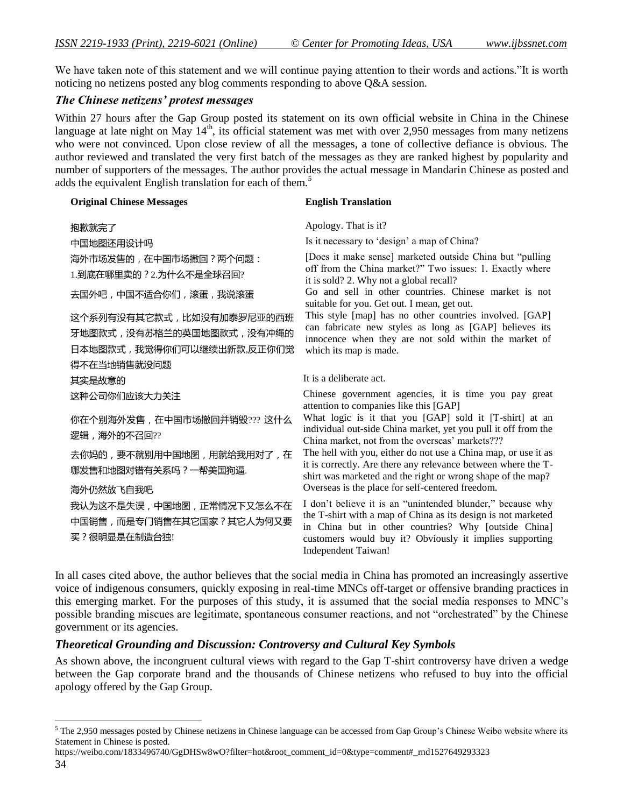We have taken note of this statement and we will continue paying attention to their words and actions."It is worth noticing no netizens posted any blog comments responding to above Q&A session.

## *The Chinese netizens' protest messages*

Within 27 hours after the Gap Group posted its statement on its own official website in China in the Chinese language at late night on May  $14<sup>th</sup>$ , its official statement was met with over 2,950 messages from many netizens who were not convinced. Upon close review of all the messages, a tone of collective defiance is obvious. The author reviewed and translated the very first batch of the messages as they are ranked highest by popularity and number of supporters of the messages. The author provides the actual message in Mandarin Chinese as posted and adds the equivalent English translation for each of them.<sup>5</sup>

#### **Original Chinese Messages English Translation**

抱歉就完了 Apology. That is it? 中国地图还用设计吗 **Is it necessary to 'design'** a map of China? 海外市场发售的,在中国市场撤回?两个问题: 1.到底在哪里卖的?2.为什么不是全球召回?

这个系列有没有其它款式,比如没有加泰罗尼亚的西班 牙地图款式,没有苏格兰的英国地图款式,没有冲绳的 日本地图款式,我觉得你们可以继续出新款,反正你们觉 得不在当地销售就没问题

你在个别海外发售,在中国市场撤回并销毁??? 这什么 逻辑,海外的不召回??

去你妈的,要不就别用中国地图,用就给我用对了,在 哪发售和地图对错有关系吗?一帮美国狗逼.

我认为这不是失误,中国地图,正常情况下又怎么不在 中国销售,而是专门销售在其它国家?其它人为何又要 买?很明显是在制造台独!

[Does it make sense] marketed outside China but "pulling off from the China market?" Two issues: 1. Exactly where it is sold? 2. Why not a global recall?

去国外吧,中国不适合你们,滚蛋,我说滚蛋 Go and sell in other countries. Chinese market is not suitable for you. Get out. I mean, get out.

> This style [map] has no other countries involved. [GAP] can fabricate new styles as long as [GAP] believes its innocence when they are not sold within the market of which its map is made.

其实是故意的 It is a deliberate act.

这种公司你们应该大力关注 Chinese government agencies, it is time you pay great attention to companies like this [GAP]

> What logic is it that you [GAP] sold it [T-shirt] at an individual out-side China market, yet you pull it off from the China market, not from the overseas' markets???

The hell with you, either do not use a China map, or use it as it is correctly. Are there any relevance between where the Tshirt was marketed and the right or wrong shape of the map? 海外仍然放飞自我吧 Overseas is the place for self-centered freedom.

> I don"t believe it is an "unintended blunder," because why the T-shirt with a map of China as its design is not marketed in China but in other countries? Why [outside China] customers would buy it? Obviously it implies supporting Independent Taiwan!

In all cases cited above, the author believes that the social media in China has promoted an increasingly assertive voice of indigenous consumers, quickly exposing in real-time MNCs off-target or offensive branding practices in this emerging market. For the purposes of this study, it is assumed that the social media responses to MNC"s possible branding miscues are legitimate, spontaneous consumer reactions, and not "orchestrated" by the Chinese government or its agencies.

# *Theoretical Grounding and Discussion: Controversy and Cultural Key Symbols*

As shown above, the incongruent cultural views with regard to the Gap T-shirt controversy have driven a wedge between the Gap corporate brand and the thousands of Chinese netizens who refused to buy into the official apology offered by the Gap Group.

https://weibo.com/1833496740/GgDHSw8wO?filter=hot&root\_comment\_id=0&type=comment#\_rnd1527649293323

 $\overline{a}$ 

 $5$  The 2,950 messages posted by Chinese netizens in Chinese language can be accessed from Gap Group's Chinese Weibo website where its Statement in Chinese is posted.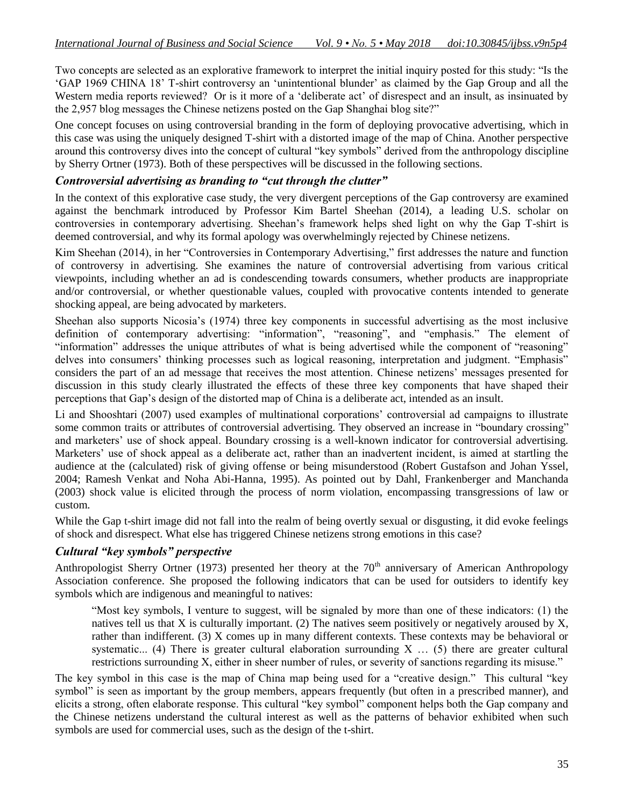Two concepts are selected as an explorative framework to interpret the initial inquiry posted for this study: "Is the "GAP 1969 CHINA 18" T-shirt controversy an "unintentional blunder" as claimed by the Gap Group and all the Western media reports reviewed? Or is it more of a 'deliberate act' of disrespect and an insult, as insinuated by the 2,957 blog messages the Chinese netizens posted on the Gap Shanghai blog site?"

One concept focuses on using controversial branding in the form of deploying provocative advertising, which in this case was using the uniquely designed T-shirt with a distorted image of the map of China. Another perspective around this controversy dives into the concept of cultural "key symbols" derived from the anthropology discipline by Sherry Ortner (1973). Both of these perspectives will be discussed in the following sections.

# *Controversial advertising as branding to "cut through the clutter"*

In the context of this explorative case study, the very divergent perceptions of the Gap controversy are examined against the benchmark introduced by Professor Kim Bartel Sheehan (2014), a leading U.S. scholar on controversies in contemporary advertising. Sheehan"s framework helps shed light on why the Gap T-shirt is deemed controversial, and why its formal apology was overwhelmingly rejected by Chinese netizens.

Kim Sheehan (2014), in her "Controversies in Contemporary Advertising," first addresses the nature and function of controversy in advertising. She examines the nature of controversial advertising from various critical viewpoints, including whether an ad is condescending towards consumers, whether products are inappropriate and/or controversial, or whether questionable values, coupled with provocative contents intended to generate shocking appeal, are being advocated by marketers.

Sheehan also supports Nicosia"s (1974) three key components in successful advertising as the most inclusive definition of contemporary advertising: "information", "reasoning", and "emphasis." The element of "information" addresses the unique attributes of what is being advertised while the component of "reasoning" delves into consumers" thinking processes such as logical reasoning, interpretation and judgment. "Emphasis" considers the part of an ad message that receives the most attention. Chinese netizens" messages presented for discussion in this study clearly illustrated the effects of these three key components that have shaped their perceptions that Gap"s design of the distorted map of China is a deliberate act, intended as an insult.

Li and Shooshtari (2007) used examples of multinational corporations" controversial ad campaigns to illustrate some common traits or attributes of controversial advertising. They observed an increase in "boundary crossing" and marketers" use of shock appeal. Boundary crossing is a well-known indicator for controversial advertising. Marketers' use of shock appeal as a deliberate act, rather than an inadvertent incident, is aimed at startling the audience at the (calculated) risk of giving offense or being misunderstood (Robert Gustafson and Johan Yssel, 2004; Ramesh Venkat and Noha Abi-Hanna, 1995). As pointed out by Dahl, Frankenberger and Manchanda (2003) shock value is elicited through the process of norm violation, encompassing transgressions of law or custom.

While the Gap t-shirt image did not fall into the realm of being overtly sexual or disgusting, it did evoke feelings of shock and disrespect. What else has triggered Chinese netizens strong emotions in this case?

# *Cultural "key symbols" perspective*

Anthropologist Sherry Ortner (1973) presented her theory at the  $70<sup>th</sup>$  anniversary of American Anthropology Association conference. She proposed the following indicators that can be used for outsiders to identify key symbols which are indigenous and meaningful to natives:

"Most key symbols, I venture to suggest, will be signaled by more than one of these indicators: (1) the natives tell us that X is culturally important. (2) The natives seem positively or negatively aroused by X, rather than indifferent. (3) X comes up in many different contexts. These contexts may be behavioral or systematic... (4) There is greater cultural elaboration surrounding X ... (5) there are greater cultural restrictions surrounding X, either in sheer number of rules, or severity of sanctions regarding its misuse."

The key symbol in this case is the map of China map being used for a "creative design." This cultural "key symbol" is seen as important by the group members, appears frequently (but often in a prescribed manner), and elicits a strong, often elaborate response. This cultural "key symbol" component helps both the Gap company and the Chinese netizens understand the cultural interest as well as the patterns of behavior exhibited when such symbols are used for commercial uses, such as the design of the t-shirt.